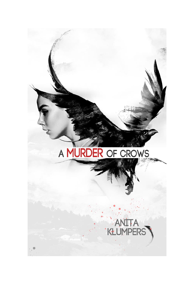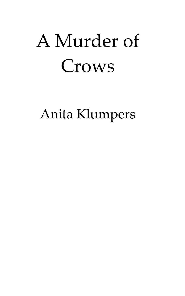## A Murder of Crows

Anita Klumpers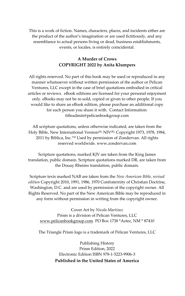This is a work of fiction. Names, characters, places, and incidents either are the product of the author's imagination or are used fictitiously, and any resemblance to actual persons living or dead, business establishments, events, or locales, is entirely coincidental.

## **A Murder of Crows COPYRIGHT 2022 by Anita Klumpers**

All rights reserved. No part of this book may be used or reproduced in any manner whatsoever without written permission of the author or Pelican Ventures, LLC except in the case of brief quotations embodied in critical articles or reviews. eBook editions are licensed for your personal enjoyment only. eBooks may not be re-sold, copied or given to other people. If you would like to share an eBook edition, please purchase an additional copy for each person you share it with. Contact Information: titleadmin@pelicanbookgroup.com

All scripture quotations, unless otherwise indicated, are taken from the Holy Bible, New International Version<sup>(R),</sup> NIV<sup>(R)</sup>, Copyright 1973, 1978, 1984, 2011 by Biblica, Inc.<sup>™</sup> Used by permission of Zondervan. All rights reserved worldwide. www.zondervan.com

Scripture quotations, marked KJV are taken from the King James translation, public domain. Scripture quotations marked DR, are taken from the Douay Rheims translation, public domain.

Scripture texts marked NAB are taken from the *New American Bible, revised edition* Copyright 2010, 1991, 1986, 1970 Confraternity of Christian Doctrine, Washington, D.C. and are used by permission of the copyright owner. All Rights Reserved. No part of the New American Bible may be reproduced in any form without permission in writing from the copyright owner.

Cover Art by *Nicola Martinez* Prism is a division of Pelican Ventures, LLC [www.pelicanbookgroup.com](http://www.pelicanbookgroup.com/) PO Box 1738 \*Aztec, NM \* 87410

The Triangle Prism logo is a trademark of Pelican Ventures, LLC

Publishing History Prism Edition, 2022 Electronic Edition ISBN 978-1-5223-9906-3 **Published in the United States of America**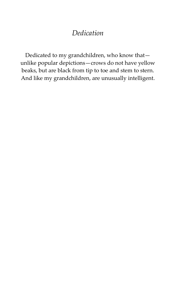## *Dedication*

Dedicated to my grandchildren, who know that unlike popular depictions—crows do not have yellow beaks, but are black from tip to toe and stem to stern. And like my grandchildren, are unusually intelligent.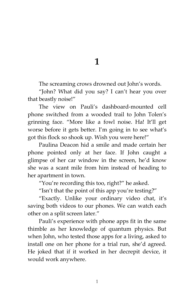**1**

The screaming crows drowned out John's words.

'John? What did you say? I can't hear you over that beastly noise!'

The view on Pauli's dashboard-mounted cell phone switched from a wooded trail to John Tolen's grinning face. 'More like a fowl noise. Ha! It'll get worse before it gets better. I'm going in to see what's got this flock so shook up. Wish you were here!'

Paulina Deacon hid a smile and made certain her phone pointed only at her face. If John caught a glimpse of her car window in the screen, he'd know she was a scant mile from him instead of heading to her apartment in town.

'You're recording this too, right?' he asked.

'Isn't that the point of this app you're testing?'

'Exactly. Unlike your ordinary video chat, it's saving both videos to our phones. We can watch each other on a split screen later.'

Pauli's experience with phone apps fit in the same thimble as her knowledge of quantum physics. But when John, who tested those apps for a living, asked to install one on her phone for a trial run, she'd agreed. He joked that if it worked in her decrepit device, it would work anywhere.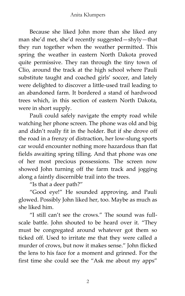Because she liked John more than she liked any man she'd met, she'd recently suggested—shyly—that they run together when the weather permitted. This spring the weather in eastern North Dakota proved quite permissive. They ran through the tiny town of Clio, around the track at the high school where Pauli substitute taught and coached girls' soccer, and lately were delighted to discover a little-used trail leading to an abandoned farm. It bordered a stand of hardwood trees which, in this section of eastern North Dakota, were in short supply.

Pauli could safely navigate the empty road while watching her phone screen. The phone was old and big and didn't really fit in the holder. But if she drove off the road in a frenzy of distraction, her low-slung sports car would encounter nothing more hazardous than flat fields awaiting spring tilling. And that phone was one of her most precious possessions. The screen now showed John turning off the farm track and jogging along a faintly discernible trail into the trees.

'Is that a deer path?'

'Good eye!' He sounded approving, and Pauli glowed. Possibly John liked her, too. Maybe as much as she liked him.

'I still can't see the crows.' The sound was fullscale battle. John shouted to be heard over it. 'They must be congregated around whatever got them so ticked off. Used to irritate me that they were called a murder of crows, but now it makes sense.' John flicked the lens to his face for a moment and grinned. For the first time she could see the 'Ask me about my apps'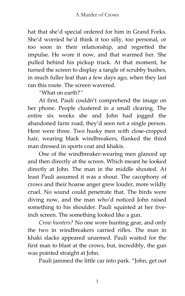hat that she'd special ordered for him in Grand Forks. She'd worried he'd think it too silly, too personal, or too soon in their relationship, and regretted the impulse. He wore it now, and that warmed her. She pulled behind his pickup truck. At that moment, he turned the screen to display a tangle of scrubby bushes, in much fuller leaf than a few days ago, when they last ran this route. The screen wavered.

*'*What on earth?*'*

At first, Pauli couldn't comprehend the image on her phone. People clustered in a small clearing. The entire six weeks she and John had jogged the abandoned farm road, they'd seen not a single person. Here were three. Two husky men with close-cropped hair, wearing black windbreakers, flanked the third man dressed in sports coat and khakis.

One of the windbreaker-wearing men glanced up and then directly at the screen. Which meant he looked directly at John. The man in the middle shouted. At least Pauli assumed it was a shout. The cacophony of crows and their hoarse anger grew louder, more wildly cruel. No sound could penetrate that. The birds were diving now, and the man who'd noticed John raised something to his shoulder. Pauli squinted at her fiveinch screen. The something looked like a gun.

*Crow hunters?* No one wore hunting gear, and only the two in windbreakers carried rifles. The man in khaki slacks appeared unarmed. Pauli waited for the first man to blast at the crows, but, incredibly, the gun was pointed straight at John.

Pauli jammed the little car into park. 'John, get out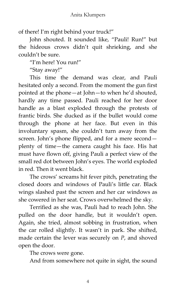of there! I'm right behind your truck!'

John shouted. It sounded like, 'Pauli! Run!' but the hideous crows didn't quit shrieking, and she couldn't be sure.

'I'm here! You run!'

'Stay away!'

This time the demand was clear, and Pauli hesitated only a second. From the moment the gun first pointed at the phone—at John—to when he'd shouted, hardly any time passed. Pauli reached for her door handle as a blast exploded through the protests of frantic birds. She ducked as if the bullet would come through the phone at her face. But even in this involuntary spasm, she couldn't turn away from the screen. John's phone flipped, and for a mere second plenty of time—the camera caught his face. His hat must have flown off, giving Pauli a perfect view of the small red dot between John's eyes. The world exploded in red. Then it went black.

The crows' screams hit fever pitch, penetrating the closed doors and windows of Pauli's little car. Black wings slashed past the screen and her car windows as she cowered in her seat. Crows overwhelmed the sky.

Terrified as she was, Pauli had to reach John. She pulled on the door handle, but it wouldn't open. Again, she tried, almost sobbing in frustration, when the car rolled slightly. It wasn't in park. She shifted, made certain the lever was securely on *P*, and shoved open the door.

The crows were gone.

And from somewhere not quite in sight, the sound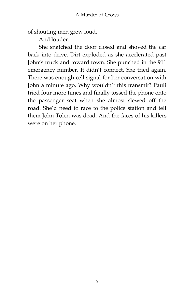of shouting men grew loud.

And louder.

She snatched the door closed and shoved the car back into drive. Dirt exploded as she accelerated past John's truck and toward town. She punched in the 911 emergency number. It didn't connect. She tried again. There was enough cell signal for her conversation with John a minute ago. Why wouldn't this transmit? Pauli tried four more times and finally tossed the phone onto the passenger seat when she almost slewed off the road. She'd need to race to the police station and tell them John Tolen was dead. And the faces of his killers were on her phone.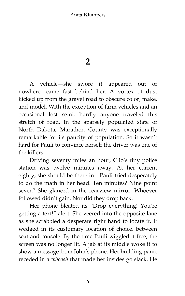## Anita Klumpers

**2**

A vehicle—she swore it appeared out of nowhere—came fast behind her. A vortex of dust kicked up from the gravel road to obscure color, make, and model. With the exception of farm vehicles and an occasional lost semi, hardly anyone traveled this stretch of road. In the sparsely populated state of North Dakota, Marathon County was exceptionally remarkable for its paucity of population. So it wasn't hard for Pauli to convince herself the driver was one of the killers.

Driving seventy miles an hour, Clio's tiny police station was twelve minutes away. At her current eighty, she should be there in—Pauli tried desperately to do the math in her head. Ten minutes? Nine point seven? She glanced in the rearview mirror. Whoever followed didn't gain. Nor did they drop back.

Her phone bleated its 'Drop everything! You're getting a text!' alert. She veered into the opposite lane as she scrabbled a desperate right hand to locate it. It wedged in its customary location of choice, between seat and console. By the time Pauli wiggled it free, the screen was no longer lit. A jab at its middle woke it to show a message from John's phone. Her building panic receded in a *whoosh* that made her insides go slack. He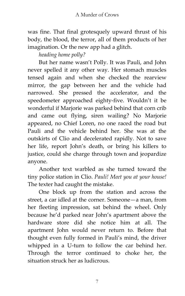was fine. That final grotesquely upward thrust of his body, the blood, the terror, all of them products of her imagination. Or the new app had a glitch.

*heading home polly?*

But her name wasn't Polly. It was Pauli, and John never spelled it any other way. Her stomach muscles tensed again and when she checked the rearview mirror, the gap between her and the vehicle had narrowed. She pressed the accelerator, and the speedometer approached eighty-five. Wouldn't it be wonderful if Marjorie was parked behind that corn crib and came out flying, siren wailing? No Marjorie appeared, no Chief Loren, no one raced the road but Pauli and the vehicle behind her. She was at the outskirts of Clio and decelerated rapidly. Not to save her life, report John's death, or bring his killers to justice, could she charge through town and jeopardize anyone.

Another text warbled as she turned toward the tiny police station in Clio. *Pauli! Meet you at your house!* The texter had caught the mistake.

One block up from the station and across the street, a car idled at the corner. Someone—a man, from her fleeting impression, sat behind the wheel. Only because he'd parked near John's apartment above the hardware store did she notice him at all. The apartment John would never return to. Before that thought even fully formed in Pauli's mind, the driver whipped in a U-turn to follow the car behind her. Through the terror continued to choke her, the situation struck her as ludicrous.

7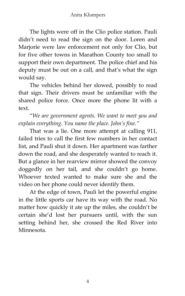The lights were off in the Clio police station. Pauli didn't need to read the sign on the door. Loren and Marjorie were law enforcement not only for Clio, but for five other towns in Marathon County too small to support their own department. The police chief and his deputy must be out on a call, and that's what the sign would say.

The vehicles behind her slowed, possibly to read that sign. Their drivers must be unfamiliar with the shared police force. Once more the phone lit with a text.

'*We are government agents. We want to meet you and explain everything*. *You name the place. John's fine.'*

That was a lie. One more attempt at calling 911, failed tries to call the first few numbers in her contact list, and Pauli shut it down. Her apartment was farther down the road, and she desperately wanted to reach it. But a glance in her rearview mirror showed the convoy doggedly on her tail, and she couldn't go home. Whoever texted wanted to make sure she and the video on her phone could never identify them.

At the edge of town, Pauli let the powerful engine in the little sports car have its way with the road. No matter how quickly it ate up the miles, she couldn't be certain she'd lost her pursuers until, with the sun setting behind her, she crossed the Red River into Minnesota.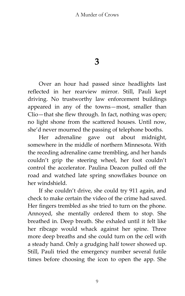**3**

Over an hour had passed since headlights last reflected in her rearview mirror. Still, Pauli kept driving. No trustworthy law enforcement buildings appeared in any of the towns—most, smaller than Clio—that she flew through. In fact, nothing was open; no light shone from the scattered houses. Until now, she'd never mourned the passing of telephone booths.

Her adrenaline gave out about midnight, somewhere in the middle of northern Minnesota. With the receding adrenaline came trembling, and her hands couldn't grip the steering wheel, her foot couldn't control the accelerator. Paulina Deacon pulled off the road and watched late spring snowflakes bounce on her windshield.

If she couldn't drive, she could try 911 again, and check to make certain the video of the crime had saved. Her fingers trembled as she tried to turn on the phone. Annoyed, she mentally ordered them to stop. She breathed in. Deep breath. She exhaled until it felt like her ribcage would whack against her spine. Three more deep breaths and she could turn on the cell with a steady hand. Only a grudging half tower showed up. Still, Pauli tried the emergency number several futile times before choosing the icon to open the app. She

9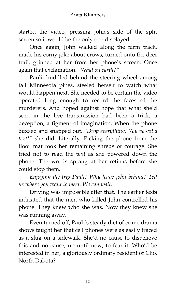started the video, pressing John's side of the split screen so it would be the only one displayed.

Once again, John walked along the farm track, made his corny joke about crows, turned onto the deer trail, grinned at her from her phone's screen. Once again that exclamation. *'What on earth?'*

Pauli, huddled behind the steering wheel among tall Minnesota pines, steeled herself to watch what would happen next. She needed to be certain the video operated long enough to record the faces of the murderers. And hoped against hope that what she'd seen in the live transmission had been a trick, a deception, a figment of imagination. When the phone buzzed and snapped out, *'Drop everything! You've got a text!'* she did. Literally. Picking the phone from the floor mat took her remaining shreds of courage. She tried not to read the text as she powered down the phone. The words sprang at her retinas before she could stop them.

*Enjoying the trip Pauli? Why leave John behind? Tell us where you want to meet. We can wait.*

Driving was impossible after that. The earlier texts indicated that the men who killed John controlled his phone. They knew who she was. Now they knew she was running away.

Even turned off, Pauli's steady diet of crime drama shows taught her that cell phones were as easily traced as a slug on a sidewalk. She'd no cause to disbelieve this and no cause, up until now, to fear it. Who'd be interested in her, a gloriously ordinary resident of Clio, North Dakota?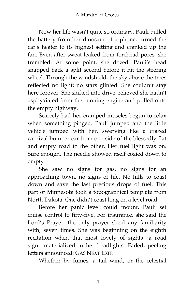Now her life wasn't quite so ordinary. Pauli pulled the battery from her dinosaur of a phone, turned the car's heater to its highest setting and cranked up the fan. Even after sweat leaked from forehead pores, she trembled. At some point, she dozed. Pauli's head snapped back a split second before it hit the steering wheel. Through the windshield, the sky above the trees reflected no light; no stars glinted. She couldn't stay here forever. She shifted into drive, relieved she hadn't asphyxiated from the running engine and pulled onto the empty highway.

Scarcely had her cramped muscles begun to relax when something pinged. Pauli jumped and the little vehicle jumped with her, swerving like a crazed carnival bumper car from one side of the blessedly flat and empty road to the other. Her fuel light was on. Sure enough. The needle showed itself cozied down to empty.

She saw no signs for gas, no signs for an approaching town, no signs of life. No hills to coast down and save the last precious drops of fuel. This part of Minnesota took a topographical template from North Dakota. One didn't coast long on a level road.

Before her panic level could mount, Pauli set cruise control to fifty-five. For insurance, she said the Lord's Prayer, the only prayer she'd any familiarity with, seven times. She was beginning on the eighth recitation when that most lovely of sights—a road sign—materialized in her headlights. Faded, peeling letters announced: GAS NEXT EXIT.

Whether by fumes, a tail wind, or the celestial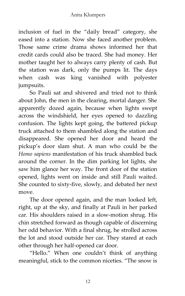inclusion of fuel in the 'daily bread' category, she eased into a station. Now she faced another problem. Those same crime drama shows informed her that credit cards could also be traced. She had money. Her mother taught her to always carry plenty of cash. But the station was dark, only the pumps lit. The days when cash was king vanished with polyester jumpsuits.

So Pauli sat and shivered and tried not to think about John, the men in the clearing, mortal danger. She apparently dozed again, because when lights swept across the windshield, her eyes opened to dazzling confusion. The lights kept going, the battered pickup truck attached to them shambled along the station and disappeared. She opened her door and heard the pickup's door slam shut. A man who could be the *Homo sapiens* manifestation of his truck shambled back around the corner. In the dim parking lot lights, she saw him glance her way. The front door of the station opened, lights went on inside and still Pauli waited. She counted to sixty-five, slowly, and debated her next move.

The door opened again, and the man looked left, right, up at the sky, and finally at Pauli in her parked car. His shoulders raised in a slow-motion shrug. His chin stretched forward as though capable of discerning her odd behavior. With a final shrug, he strolled across the lot and stood outside her car. They stared at each other through her half-opened car door.

"Hello." When one couldn't think of anything meaningful, stick to the common niceties. 'The snow is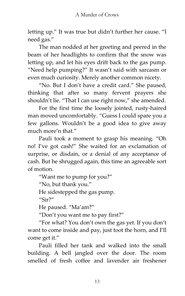letting up.' It was true but didn't further her cause. 'I need gas.'

The man nodded at her greeting and peered in the beam of her headlights to confirm that the snow was letting up, and let his eyes drift back to the gas pump. 'Need help pumping?' It wasn't said with sarcasm or even much curiosity. Merely another common nicety.

'No. But I don't have a credit card.' She paused, thinking that after so many fervent prayers she shouldn't lie. 'That I can use right now,' she amended.

For the first time the loosely jointed, rusty-haired man moved uncomfortably. 'Guess I could spare you a few gallons. Wouldn't be a good idea to give away much more'n that.'

Pauli took a moment to grasp his meaning. 'Oh no! I've got cash!' She waited for an exclamation of surprise, or disdain, or a denial of any acceptance of cash. But he shrugged again, this time an agreeable sort of motion.

'Want me to pump for you?'

'No, but thank you.'

He sidestepped the gas pump.

 $^{\prime\prime}$ Sir?"

He paused. 'Ma'am?'

'Don't you want me to pay first?'

'For what? You don't own the gas yet. If you don't want to come inside and pay, just toot the horn, and I'll come get it.'

Pauli filled her tank and walked into the small building. A bell jangled over the door. The room smelled of fresh coffee and lavender air freshener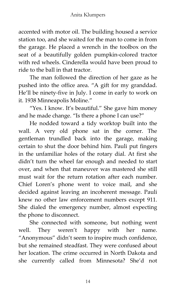accented with motor oil. The building housed a service station too, and she waited for the man to come in from the garage. He placed a wrench in the toolbox on the seat of a beautifully golden pumpkin-colored tractor with red wheels. Cinderella would have been proud to ride to the ball in that tractor.

The man followed the direction of her gaze as he pushed into the office area. "A gift for my granddad. He'll be ninety-five in July. I come in early to work on it. 1938 Minneapolis Moline.'

'Yes. I know. It's beautiful.' She gave him money and he made change. "Is there a phone I can use?"

He nodded toward a tidy worktop built into the wall. A very old phone sat in the corner. The gentleman trundled back into the garage, making certain to shut the door behind him. Pauli put fingers in the unfamiliar holes of the rotary dial. At first she didn't turn the wheel far enough and needed to start over, and when that maneuver was mastered she still must wait for the return rotation after each number. Chief Loren's phone went to voice mail, and she decided against leaving an incoherent message. Pauli knew no other law enforcement numbers except 911. She dialed the emergency number, almost expecting the phone to disconnect.

She connected with someone, but nothing went well. They weren't happy with her name. 'Anonymous' didn't seem to inspire much confidence, but she remained steadfast. They were confused about her location. The crime occurred in North Dakota and she currently called from Minnesota? She'd not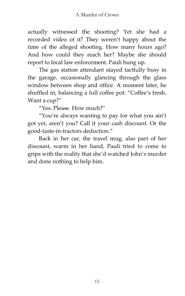actually witnessed the shooting? Yet she had a recorded video of it? They weren't happy about the time of the alleged shooting. How many hours ago? And how could they reach her? Maybe she should report to local law enforcement. Pauli hung up.

The gas station attendant stayed tactfully busy in the garage, occasionally glancing through the glass window between shop and office. A moment later, he shuffled in, balancing a full coffee pot. 'Coffee's fresh. Want a cup?"

'Yes. Please. How much?'

'You're always wanting to pay for what you ain't got yet, aren't you? Call it your cash discount. Or the good-taste-in-tractors deduction.'

Back in her car, the travel mug, also part of her discount, warm in her hand, Pauli tried to come to grips with the reality that she'd watched John's murder and done nothing to help him.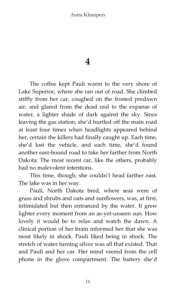**4**

The coffee kept Pauli warm to the very shore of Lake Superior, where she ran out of road. She climbed stiffly from her car, coughed on the frosted predawn air, and glared from the dead end to the expanse of water, a lighter shade of dark against the sky. Since leaving the gas station, she'd hurtled off the main road at least four times when headlights appeared behind her, certain the killers had finally caught up. Each time, she'd lost the vehicle, and each time, she'd found another east-bound road to take her farther from North Dakota. The most recent car, like the others, probably had no malevolent intentions.

This time, though, she couldn't head farther east. The lake was in her way.

Pauli, North Dakota bred, where seas were of grass and shrubs and oats and sunflowers, was, at first, intimidated but then entranced by the water. It grew lighter every moment from an as-yet-unseen sun. How lovely it would be to relax and watch the dawn. A clinical portion of her brain informed her that she was most likely in shock. Pauli liked being in shock. The stretch of water turning silver was all that existed. That and Pauli and her car. Her mind veered from the cell phone in the glove compartment. The battery she'd